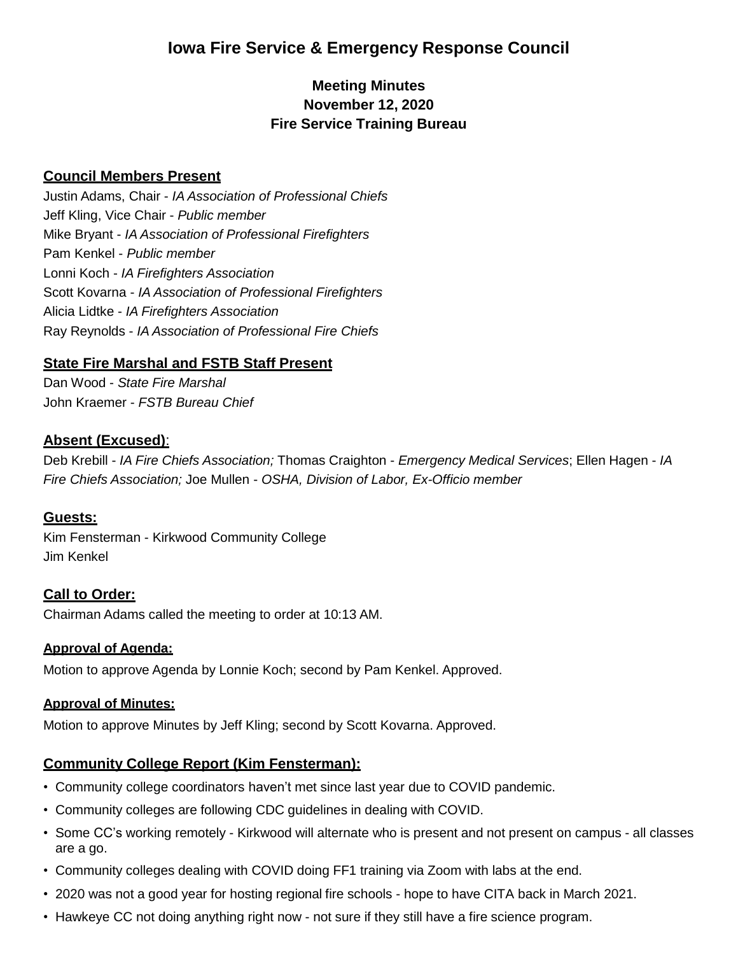# **Iowa Fire Service & Emergency Response Council**

# **Meeting Minutes November 12, 2020 Fire Service Training Bureau**

#### **Council Members Present**

Justin Adams, Chair - *IA Association of Professional Chiefs* Jeff Kling, Vice Chair - *Public member* Mike Bryant - *IA Association of Professional Firefighters* Pam Kenkel - *Public member* Lonni Koch - *IA Firefighters Association* Scott Kovarna - *IA Association of Professional Firefighters* Alicia Lidtke - *IA Firefighters Association* Ray Reynolds - *IA Association of Professional Fire Chiefs*

#### **State Fire Marshal and FSTB Staff Present**

Dan Wood - *State Fire Marshal* John Kraemer - *FSTB Bureau Chief*

#### **Absent (Excused)**:

Deb Krebill - *IA Fire Chiefs Association;* Thomas Craighton - *Emergency Medical Services*; Ellen Hagen - *IA Fire Chiefs Association;* Joe Mullen - *OSHA, Division of Labor, Ex-Officio member*

#### **Guests:**

Kim Fensterman - Kirkwood Community College Jim Kenkel

#### **Call to Order:**

Chairman Adams called the meeting to order at 10:13 AM.

#### **Approval of Agenda:**

Motion to approve Agenda by Lonnie Koch; second by Pam Kenkel. Approved.

#### **Approval of Minutes:**

Motion to approve Minutes by Jeff Kling; second by Scott Kovarna. Approved.

#### **Community College Report (Kim Fensterman):**

- Community college coordinators haven't met since last year due to COVID pandemic.
- Community colleges are following CDC guidelines in dealing with COVID.
- Some CC's working remotely Kirkwood will alternate who is present and not present on campus all classes are a go.
- Community colleges dealing with COVID doing FF1 training via Zoom with labs at the end.
- 2020 was not a good year for hosting regional fire schools hope to have CITA back in March 2021.
- Hawkeye CC not doing anything right now not sure if they still have a fire science program.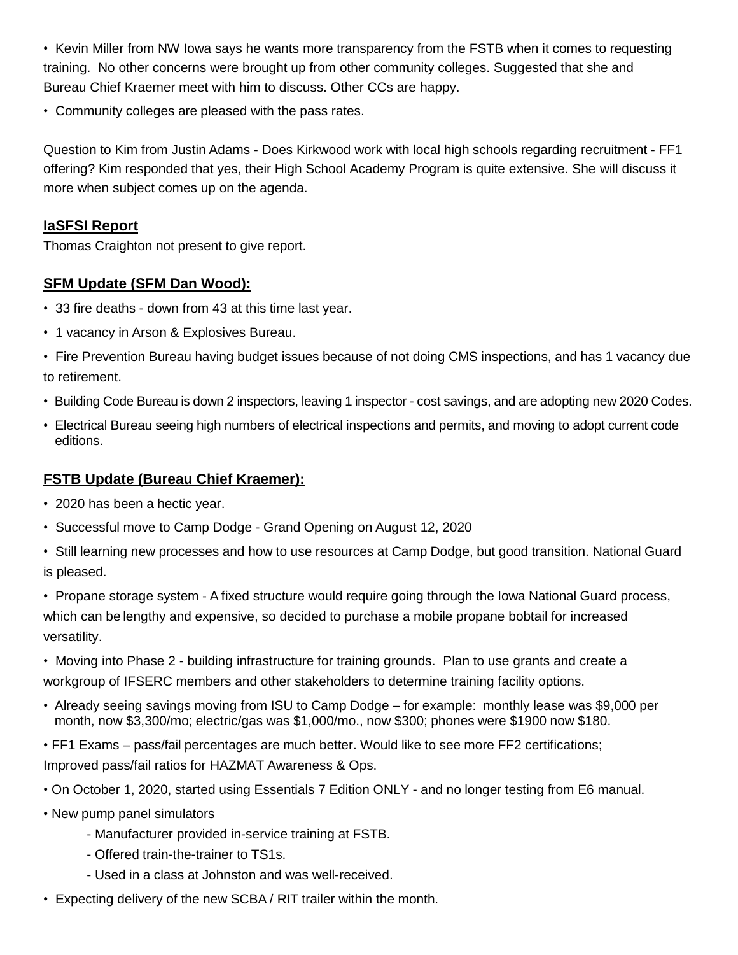• Kevin Miller from NW Iowa says he wants more transparency from the FSTB when it comes to requesting training. No other concerns were brought up from other community colleges. Suggested that she and Bureau Chief Kraemer meet with him to discuss. Other CCs are happy.

• Community colleges are pleased with the pass rates.

Question to Kim from Justin Adams - Does Kirkwood work with local high schools regarding recruitment - FF1 offering? Kim responded that yes, their High School Academy Program is quite extensive. She will discuss it more when subject comes up on the agenda.

#### **IaSFSI Report**

Thomas Craighton not present to give report.

#### **SFM Update (SFM Dan Wood):**

- 33 fire deaths down from 43 at this time last year.
- 1 vacancy in Arson & Explosives Bureau.
- Fire Prevention Bureau having budget issues because of not doing CMS inspections, and has 1 vacancy due to retirement.
- Building Code Bureau is down 2 inspectors, leaving 1 inspector cost savings, and are adopting new 2020 Codes.
- Electrical Bureau seeing high numbers of electrical inspections and permits, and moving to adopt current code editions.

#### **FSTB Update (Bureau Chief Kraemer):**

- 2020 has been a hectic year.
- Successful move to Camp Dodge Grand Opening on August 12, 2020
- Still learning new processes and how to use resources at Camp Dodge, but good transition. National Guard is pleased.
- Propane storage system A fixed structure would require going through the Iowa National Guard process, which can be lengthy and expensive, so decided to purchase a mobile propane bobtail for increased versatility.
- Moving into Phase 2 building infrastructure for training grounds. Plan to use grants and create a workgroup of IFSERC members and other stakeholders to determine training facility options.
- Already seeing savings moving from ISU to Camp Dodge for example: monthly lease was \$9,000 per month, now \$3,300/mo; electric/gas was \$1,000/mo., now \$300; phones were \$1900 now \$180.
- FF1 Exams pass/fail percentages are much better. Would like to see more FF2 certifications; Improved pass/fail ratios for HAZMAT Awareness & Ops.
- On October 1, 2020, started using Essentials 7 Edition ONLY and no longer testing from E6 manual.
- New pump panel simulators
	- Manufacturer provided in-service training at FSTB.
	- Offered train-the-trainer to TS1s.
	- Used in a class at Johnston and was well-received.
- Expecting delivery of the new SCBA / RIT trailer within the month.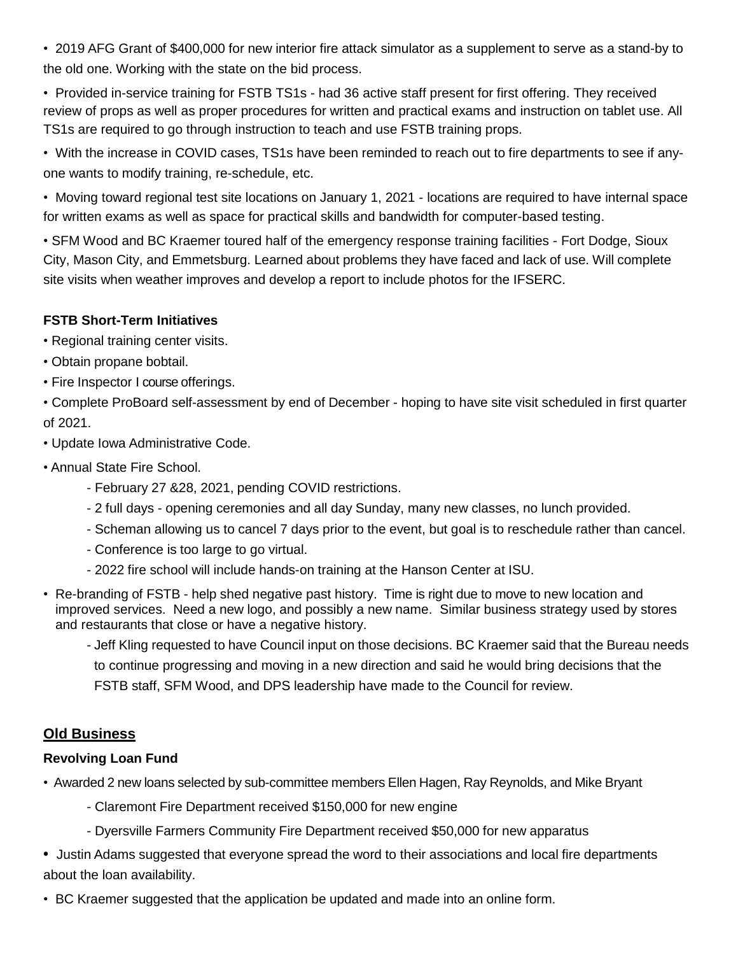• 2019 AFG Grant of \$400,000 for new interior fire attack simulator as a supplement to serve as a stand-by to the old one. Working with the state on the bid process.

• Provided in-service training for FSTB TS1s - had 36 active staff present for first offering. They received review of props as well as proper procedures for written and practical exams and instruction on tablet use. All TS1s are required to go through instruction to teach and use FSTB training props.

• With the increase in COVID cases, TS1s have been reminded to reach out to fire departments to see if anyone wants to modify training, re-schedule, etc.

• Moving toward regional test site locations on January 1, 2021 - locations are required to have internal space for written exams as well as space for practical skills and bandwidth for computer-based testing.

• SFM Wood and BC Kraemer toured half of the emergency response training facilities - Fort Dodge, Sioux City, Mason City, and Emmetsburg. Learned about problems they have faced and lack of use. Will complete site visits when weather improves and develop a report to include photos for the IFSERC.

## **FSTB Short-Term Initiatives**

• Regional training center visits.

- Obtain propane bobtail.
- Fire Inspector I course offerings.

• Complete ProBoard self-assessment by end of December - hoping to have site visit scheduled in first quarter of 2021.

• Update Iowa Administrative Code.

- Annual State Fire School.
	- February 27 &28, 2021, pending COVID restrictions.
	- 2 full days opening ceremonies and all day Sunday, many new classes, no lunch provided.
	- Scheman allowing us to cancel 7 days prior to the event, but goal is to reschedule rather than cancel.
	- Conference is too large to go virtual.
	- 2022 fire school will include hands-on training at the Hanson Center at ISU.
- Re-branding of FSTB help shed negative past history. Time is right due to move to new location and improved services. Need a new logo, and possibly a new name. Similar business strategy used by stores and restaurants that close or have a negative history.
	- Jeff Kling requested to have Council input on those decisions. BC Kraemer said that the Bureau needs to continue progressing and moving in a new direction and said he would bring decisions that the FSTB staff, SFM Wood, and DPS leadership have made to the Council for review.

# **Old Business**

#### **Revolving Loan Fund**

• Awarded 2 new loans selected by sub-committee members Ellen Hagen, Ray Reynolds, and Mike Bryant

- Claremont Fire Department received \$150,000 for new engine
- Dyersville Farmers Community Fire Department received \$50,000 for new apparatus
- **•** Justin Adams suggested that everyone spread the word to their associations and local fire departments about the loan availability.
- BC Kraemer suggested that the application be updated and made into an online form.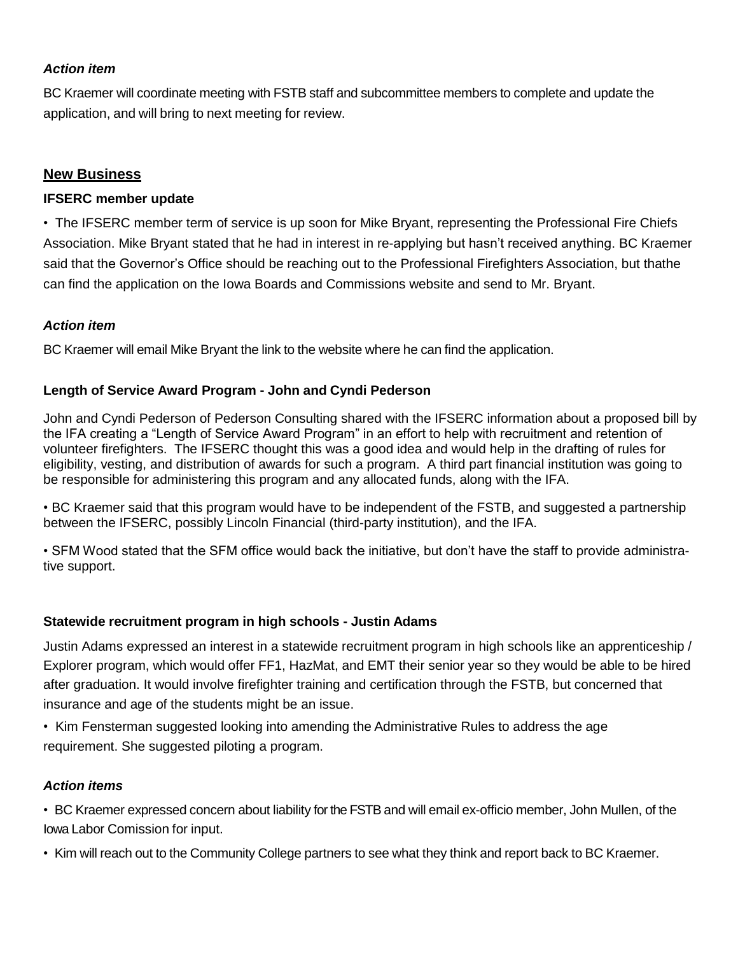#### *Action item*

BC Kraemer will coordinate meeting with FSTB staff and subcommittee members to complete and update the application, and will bring to next meeting for review.

## **New Business**

#### **IFSERC member update**

• The IFSERC member term of service is up soon for Mike Bryant, representing the Professional Fire Chiefs Association. Mike Bryant stated that he had in interest in re-applying but hasn't received anything. BC Kraemer said that the Governor's Office should be reaching out to the Professional Firefighters Association, but thathe can find the application on the Iowa Boards and Commissions website and send to Mr. Bryant.

## *Action item*

BC Kraemer will email Mike Bryant the link to the website where he can find the application.

## **Length of Service Award Program - John and Cyndi Pederson**

John and Cyndi Pederson of Pederson Consulting shared with the IFSERC information about a proposed bill by the IFA creating a "Length of Service Award Program" in an effort to help with recruitment and retention of volunteer firefighters. The IFSERC thought this was a good idea and would help in the drafting of rules for eligibility, vesting, and distribution of awards for such a program. A third part financial institution was going to be responsible for administering this program and any allocated funds, along with the IFA.

• BC Kraemer said that this program would have to be independent of the FSTB, and suggested a partnership between the IFSERC, possibly Lincoln Financial (third-party institution), and the IFA.

• SFM Wood stated that the SFM office would back the initiative, but don't have the staff to provide administrative support.

#### **Statewide recruitment program in high schools - Justin Adams**

Justin Adams expressed an interest in a statewide recruitment program in high schools like an apprenticeship / Explorer program, which would offer FF1, HazMat, and EMT their senior year so they would be able to be hired after graduation. It would involve firefighter training and certification through the FSTB, but concerned that insurance and age of the students might be an issue.

• Kim Fensterman suggested looking into amending the Administrative Rules to address the age requirement. She suggested piloting a program.

#### *Action items*

• BC Kraemer expressed concern about liability for the FSTB and will email ex-officio member, John Mullen, of the Iowa Labor Comission for input.

• Kim will reach out to the Community College partners to see what they think and report back to BC Kraemer.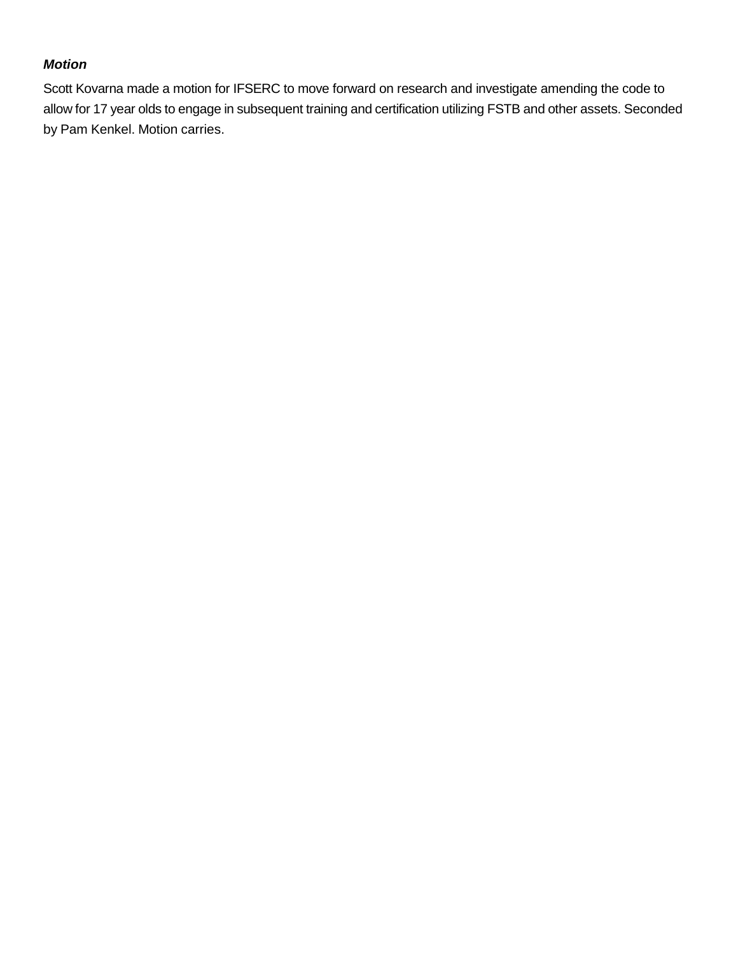# *Motion*

Scott Kovarna made a motion for IFSERC to move forward on research and investigate amending the code to allow for 17 year olds to engage in subsequent training and certification utilizing FSTB and other assets. Seconded by Pam Kenkel. Motion carries.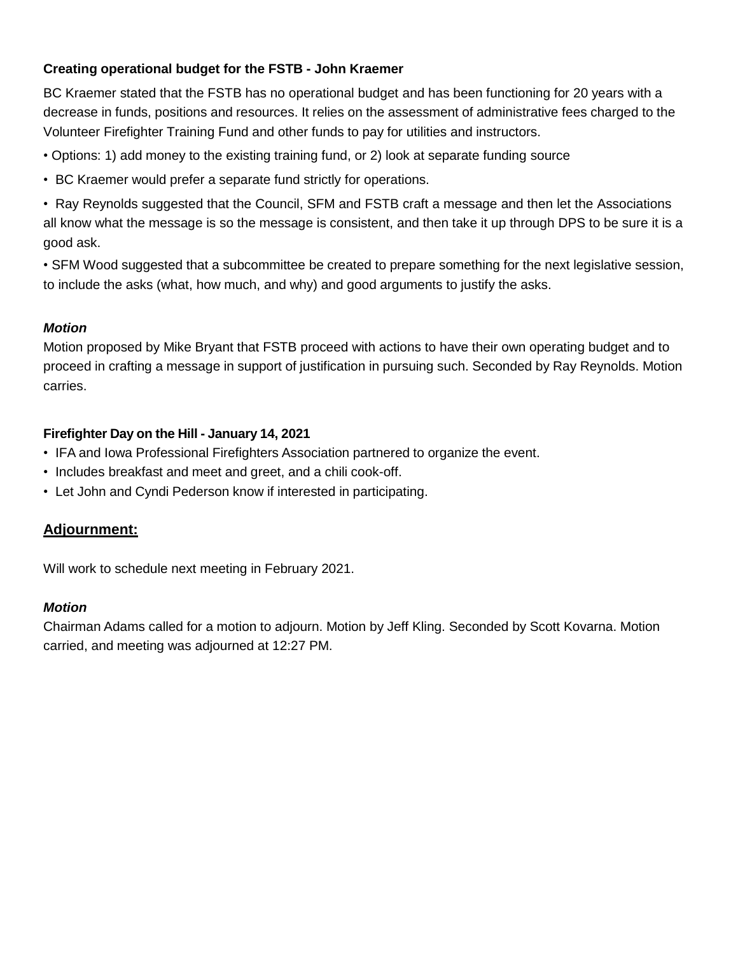# **Creating operational budget for the FSTB - John Kraemer**

BC Kraemer stated that the FSTB has no operational budget and has been functioning for 20 years with a decrease in funds, positions and resources. It relies on the assessment of administrative fees charged to the Volunteer Firefighter Training Fund and other funds to pay for utilities and instructors.

- Options: 1) add money to the existing training fund, or 2) look at separate funding source
- BC Kraemer would prefer a separate fund strictly for operations.

• Ray Reynolds suggested that the Council, SFM and FSTB craft a message and then let the Associations all know what the message is so the message is consistent, and then take it up through DPS to be sure it is a good ask.

• SFM Wood suggested that a subcommittee be created to prepare something for the next legislative session, to include the asks (what, how much, and why) and good arguments to justify the asks.

#### *Motion*

Motion proposed by Mike Bryant that FSTB proceed with actions to have their own operating budget and to proceed in crafting a message in support of justification in pursuing such. Seconded by Ray Reynolds. Motion carries.

#### **Firefighter Day on the Hill - January 14, 2021**

- IFA and Iowa Professional Firefighters Association partnered to organize the event.
- Includes breakfast and meet and greet, and a chili cook-off.
- Let John and Cyndi Pederson know if interested in participating.

#### **Adjournment:**

Will work to schedule next meeting in February 2021.

#### *Motion*

Chairman Adams called for a motion to adjourn. Motion by Jeff Kling. Seconded by Scott Kovarna. Motion carried, and meeting was adjourned at 12:27 PM.